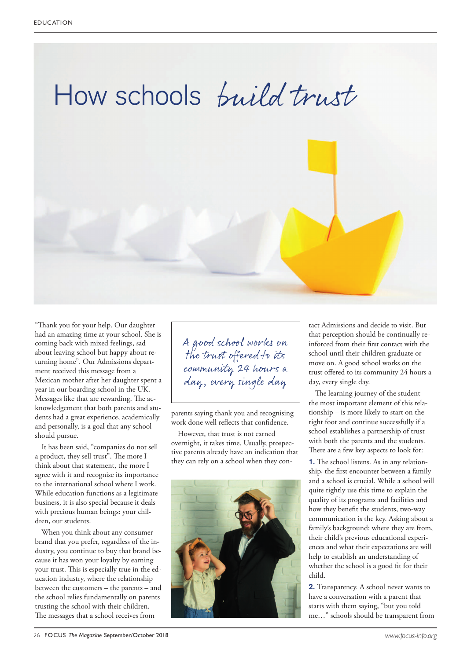

"Thank you for your help. Our daughter had an amazing time at your school. She is coming back with mixed feelings, sad about leaving school but happy about returning home". Our Admissions department received this message from a Mexican mother after her daughter spent a year in our boarding school in the UK. Messages like that are rewarding. The acknowledgement that both parents and students had a great experience, academically and personally, is a goal that any school should pursue.

It has been said, "companies do not sell a product, they sell trust". The more I think about that statement, the more I agree with it and recognise its importance to the international school where I work. While education functions as a legitimate business, it is also special because it deals with precious human beings: your children, our students.

When you think about any consumer brand that you prefer, regardless of the industry, you continue to buy that brand because it has won your loyalty by earning your trust. This is especially true in the education industry, where the relationship between the customers – the parents – and the school relies fundamentally on parents trusting the school with their children. The messages that a school receives from

A good school works on the trust offered to its community 24 hours a day, every single day

parents saying thank you and recognising work done well reflects that confidence.

However, that trust is not earned overnight, it takes time. Usually, prospective parents already have an indication that they can rely on a school when they con-



tact Admissions and decide to visit. But that perception should be continually reinforced from their first contact with the school until their children graduate or move on. A good school works on the trust offered to its community 24 hours a day, every single day.

The learning journey of the student  $$ the most important element of this relationship – is more likely to start on the right foot and continue successfully if a school establishes a partnership of trust with both the parents and the students. There are a few key aspects to look for:

**1.** The school listens. As in any relationship, the first encounter between a family and a school is crucial. While a school will quite rightly use this time to explain the quality of its programs and facilities and how they benefit the students, two-way communication is the key. Asking about a family's background: where they are from, their child's previous educational experiences and what their expectations are will help to establish an understanding of whether the school is a good fit for their child.

**2.** Transparency. A school never wants to have a conversation with a parent that starts with them saying, "but you told me…" schools should be transparent from